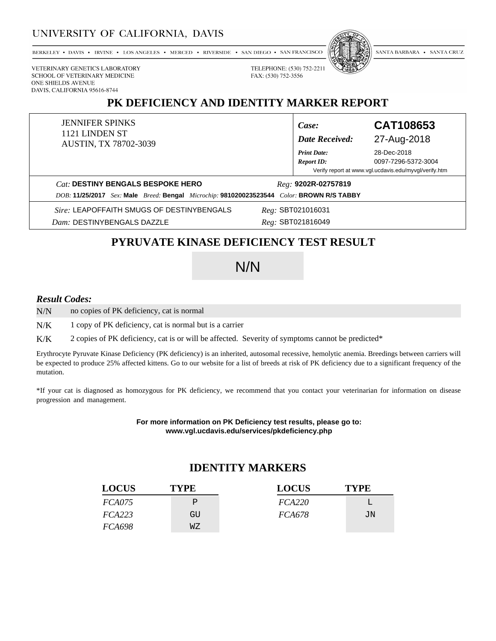### UNIVERSITY OF CALIFORNIA, DAVIS

BERKELEY • DAVIS • IRVINE • LOS ANGELES • MERCED • RIVERSIDE • SAN DIEGO • SAN FRANCISCO



SANTA BARBARA • SANTA CRUZ

VETERINARY GENETICS LABORATORY SCHOOL OF VETERINARY MEDICINE ONE SHIELDS AVENUE DAVIS, CALIFORNIA 95616-8744

## **PK DEFICIENCY AND IDENTITY MARKER REPORT**

| <b>JENNIFER SPINKS</b><br>1121 LINDEN ST<br><b>AUSTIN, TX 78702-3039</b>                             | Case:<br><b>Date Received:</b>          | CAT108653<br>27-Aug-2018                              |
|------------------------------------------------------------------------------------------------------|-----------------------------------------|-------------------------------------------------------|
|                                                                                                      | <b>Print Date:</b><br><b>Report ID:</b> | 28-Dec-2018<br>0097-7296-5372-3004                    |
|                                                                                                      |                                         | Verify report at www.vgl.ucdavis.edu/myvgl/verify.htm |
| Cat: DESTINY BENGALS BESPOKE HERO                                                                    | $Reg: 9202R-02757819$                   |                                                       |
| Sex: Male Breed: Bengal Microchip: 981020023523544 Color: BROWN R/S TABBY<br><i>DOB</i> : 11/25/2017 |                                         |                                                       |
| Sire: LEAPOFFAITH SMUGS OF DESTINYBENGALS                                                            | $Reg:$ SBT021016031                     |                                                       |

*Dam:* DESTINYBENGALS DAZZLE

*Reg:* SBT021816049

TELEPHONE: (530) 752-2211

FAX: (530) 752-3556

## **PYRUVATE KINASE DEFICIENCY TEST RESULT**

# N/N

#### *Result Codes:*

no copies of PK deficiency, cat is normal N/N

1 copy of PK deficiency, cat is normal but is a carrier N/K

2 copies of PK deficiency, cat is or will be affected. Severity of symptoms cannot be predicted\* K/K

Erythrocyte Pyruvate Kinase Deficiency (PK deficiency) is an inherited, autosomal recessive, hemolytic anemia. Breedings between carriers will be expected to produce 25% affected kittens. Go to our website for a list of breeds at risk of PK deficiency due to a significant frequency of the mutation.

\*If your cat is diagnosed as homozygous for PK deficiency, we recommend that you contact your veterinarian for information on disease progression and management.

> **For more information on PK Deficiency test results, please go to: www.vgl.ucdavis.edu/services/pkdeficiency.php**

### **IDENTITY MARKERS**

| <b>LOCUS</b>  | <b>TYPE</b> | <b>LOCUS</b>  | <b>TYPE</b> |
|---------------|-------------|---------------|-------------|
| FCA075        | P           | FCA220        |             |
| FCA223        | GU          | <i>FCA678</i> | JN          |
| <i>FCA698</i> | WΖ          |               |             |